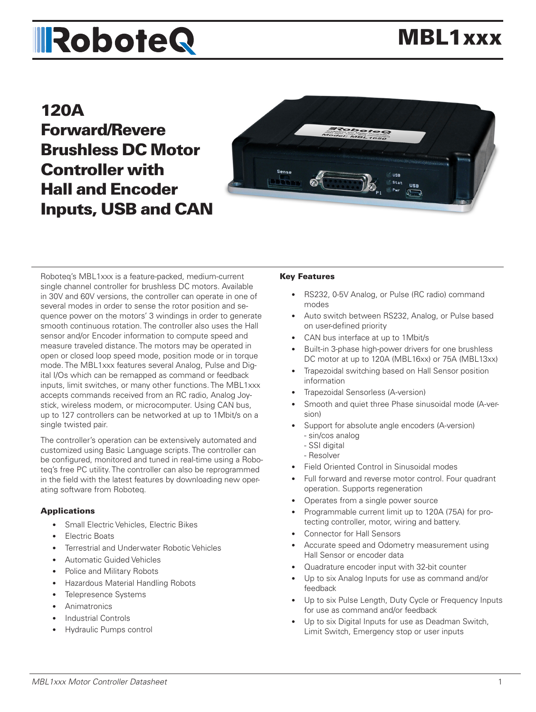# **IRoboteQ**

# MBL1xxx

# 120A Forward/Revere Brushless DC Motor Controller with Hall and Encoder Inputs, USB and CAN



Roboteq's MBL1xxx is a feature-packed, medium-current single channel controller for brushless DC motors. Available in 30V and 60V versions, the controller can operate in one of several modes in order to sense the rotor position and sequence power on the motors' 3 windings in order to generate smooth continuous rotation. The controller also uses the Hall sensor and/or Encoder information to compute speed and measure traveled distance. The motors may be operated in open or closed loop speed mode, position mode or in torque mode. The MBL1xxx features several Analog, Pulse and Digital I/Os which can be remapped as command or feedback inputs, limit switches, or many other functions. The MBL1xxx accepts commands received from an RC radio, Analog Joystick, wireless modem, or microcomputer. Using CAN bus, up to 127 controllers can be networked at up to 1Mbit/s on a single twisted pair.

The controller's operation can be extensively automated and customized using Basic Language scripts. The controller can be configured, monitored and tuned in real-time using a Roboteq's free PC utility. The controller can also be reprogrammed in the field with the latest features by downloading new operating software from Roboteq.

#### Applications

- Small Electric Vehicles, Electric Bikes
- Electric Boats
- Terrestrial and Underwater Robotic Vehicles
- Automatic Guided Vehicles
- Police and Military Robots
- Hazardous Material Handling Robots
- Telepresence Systems
- **Animatronics**
- Industrial Controls
- Hydraulic Pumps control

#### Key Features

- RS232, 0-5V Analog, or Pulse (RC radio) command modes
- Auto switch between RS232, Analog, or Pulse based on user-defined priority
- CAN bus interface at up to 1Mbit/s
- Built-in 3-phase high-power drivers for one brushless DC motor at up to 120A (MBL16xx) or 75A (MBL13xx)
- Trapezoidal switching based on Hall Sensor position information
- Trapezoidal Sensorless (A-version)
- Smooth and quiet three Phase sinusoidal mode (A-version)
- Support for absolute angle encoders (A-version) - sin/cos analog
	- SSI digital
	- Resolver
- Field Oriented Control in Sinusoidal modes
- Full forward and reverse motor control. Four quadrant operation. Supports regeneration
- Operates from a single power source
- Programmable current limit up to 120A (75A) for protecting controller, motor, wiring and battery.
- Connector for Hall Sensors
- Accurate speed and Odometry measurement using Hall Sensor or encoder data
- Quadrature encoder input with 32-bit counter
- Up to six Analog Inputs for use as command and/or feedback
- Up to six Pulse Length, Duty Cycle or Frequency Inputs for use as command and/or feedback
- Up to six Digital Inputs for use as Deadman Switch, Limit Switch, Emergency stop or user inputs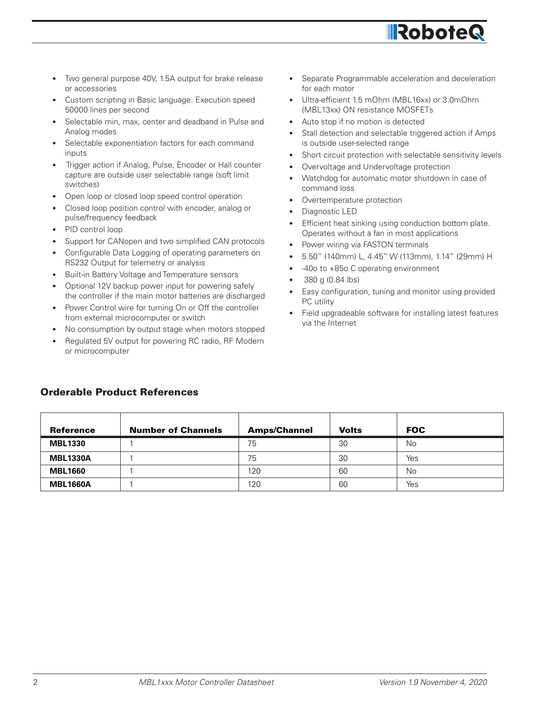- Overtemperature protection Diagnostic LED
- Efficient heat sinking using conduction bottom plate. Operates without a fan in most applications

Separate Programmable acceleration and deceleration

**IRobote** 

Stall detection and selectable triggered action if Amps

Short circuit protection with selectable sensitivity levels

Watchdog for automatic motor shutdown in case of

• Ultra-efficient 1.5 mOhm (MBL16xx) or 3.0mOhm

(MBL13xx) ON resistance MOSFETs Auto stop if no motion is detected

• Overvoltage and Undervoltage protection

is outside user-selected range

- Power wiring via FASTON terminals
- 5.50" (140mm) L, 4.45" W (113mm), 1.14" (29mm) H
- -40o to +85o C operating environment
- 380 g (0.84 lbs)

for each motor

command loss

- Easy configuration, tuning and monitor using provided PC utility
- Field upgradeable software for installing latest features via the Internet

# Orderable Product References

• Two general purpose 40V, 1.5A output for brake release

• Custom scripting in Basic language. Execution speed

Selectable min, max, center and deadband in Pulse and

Selectable exponentiation factors for each command

• Open loop or closed loop speed control operation Closed loop position control with encoder, analog or

RS232 Output for telemetry or analysis • Built-in Battery Voltage and Temperature sensors • Optional 12V backup power input for powering safely the controller if the main motor batteries are discharged Power Control wire for turning On or Off the controller

from external microcomputer or switch

• Trigger action if Analog, Pulse, Encoder or Hall counter capture are outside user selectable range (soft limit

Support for CANopen and two simplified CAN protocols • Configurable Data Logging of operating parameters on

No consumption by output stage when motors stopped • Regulated 5V output for powering RC radio, RF Modem

or accessories

Analog modes

inputs

switches)

50000 lines per second

pulse/frequency feedback

• PID control loop

or microcomputer

| Reference       | <b>Number of Channels</b> | <b>Amps/Channel</b> | <b>Volts</b> | <b>FOC</b> |  |
|-----------------|---------------------------|---------------------|--------------|------------|--|
| <b>MBL1330</b>  |                           | 75                  | 30           | No         |  |
| <b>MBL1330A</b> |                           | 75                  | 30           | Yes        |  |
| <b>MBL1660</b>  |                           | 120                 | 60           | No         |  |
| <b>MBL1660A</b> |                           | 120                 | 60           | Yes        |  |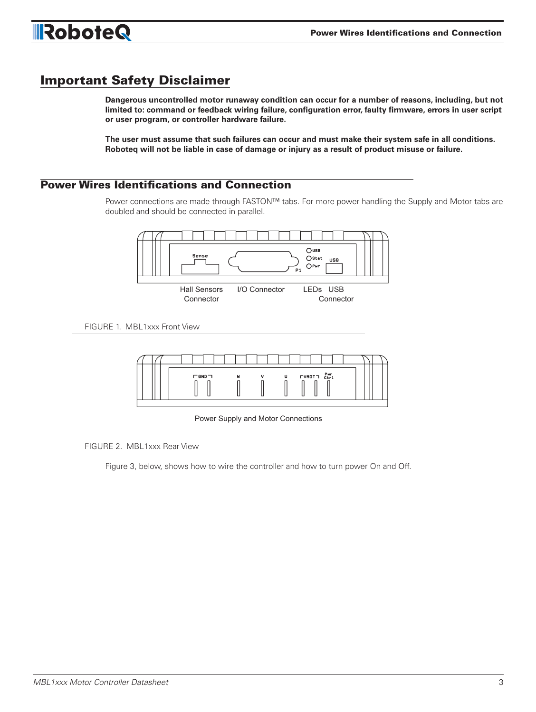

# Important Safety Disclaimer

**Dangerous uncontrolled motor runaway condition can occur for a number of reasons, including, but not limited to: command or feedback wiring failure, configuration error, faulty firmware, errors in user script or user program, or controller hardware failure.**

**The user must assume that such failures can occur and must make their system safe in all conditions. Roboteq will not be liable in case of damage or injury as a result of product misuse or failure.**

# Power Wires Identifications and Connection

Power connections are made through FASTON™ tabs. For more power handling the Supply and Motor tabs are doubled and should be connected in parallel.



FIGURE 1. MBL1xxx Front View



Power Supply and Motor Connections

Power Supply and Motor Connections and Motor Connections and Motor Connections and Motor Connections and Motor Connections and Motor Connections and Motor Connections and Motor Connections and Motor Connections and Motor C FIGURE 2. MBL1xxx Rear View

Figure 3, below, shows how to wire the controller and how to turn power On and Off.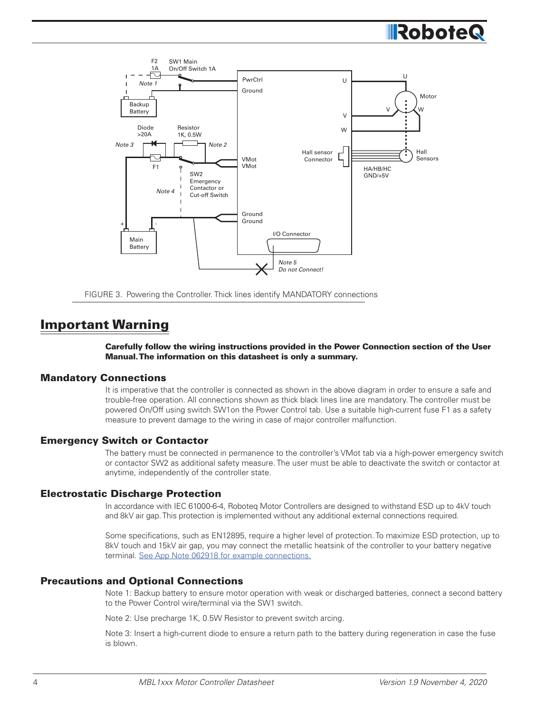



# Important Warning

Carefully follow the wiring instructions provided in the Power Connection section of the User Manual. The information on this datasheet is only a summary.

#### Mandatory Connections

It is imperative that the controller is connected as shown in the above diagram in order to ensure a safe and trouble-free operation. All connections shown as thick black lines line are mandatory. The controller must be powered On/Off using switch SW1on the Power Control tab. Use a suitable high-current fuse F1 as a safety measure to prevent damage to the wiring in case of major controller malfunction.

#### Emergency Switch or Contactor

The battery must be connected in permanence to the controller's VMot tab via a high-power emergency switch or contactor SW2 as additional safety measure. The user must be able to deactivate the switch or contactor at anytime, independently of the controller state.

#### Electrostatic Discharge Protection

In accordance with IEC 61000-6-4, Roboteq Motor Controllers are designed to withstand ESD up to 4kV touch and 8kV air gap. This protection is implemented without any additional external connections required.

Some specifications, such as EN12895, require a higher level of protection. To maximize ESD protection, up to 8kV touch and 15kV air gap, you may connect the metallic heatsink of the controller to your battery negative terminal. See App Note 062918 for example connections.

#### Precautions and Optional Connections

Note 1: Backup battery to ensure motor operation with weak or discharged batteries, connect a second battery to the Power Control wire/terminal via the SW1 switch.

Note 2: Use precharge 1K, 0.5W Resistor to prevent switch arcing.

Note 3: Insert a high-current diode to ensure a return path to the battery during regeneration in case the fuse is blown.

**IllRobote**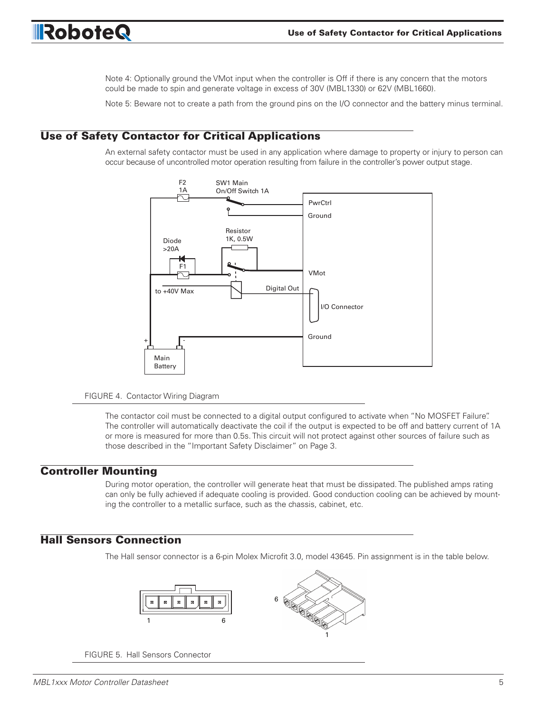

Note 4: Optionally ground the VMot input when the controller is Off if there is any concern that the motors could be made to spin and generate voltage in excess of 30V (MBL1330) or 62V (MBL1660).

Note 5: Beware not to create a path from the ground pins on the I/O connector and the battery minus terminal.

### Use of Safety Contactor for Critical Applications

An external safety contactor must be used in any application where damage to property or injury to person can occur because of uncontrolled motor operation resulting from failure in the controller's power output stage.



#### FIGURE 4. Contactor Wiring Diagram

The contactor coil must be connected to a digital output configured to activate when "No MOSFET Failure". The controller will automatically deactivate the coil if the output is expected to be off and battery current of 1A or more is measured for more than 0.5s. This circuit will not protect against other sources of failure such as those described in the "Important Safety Disclaimer" on Page 3.

#### Controller Mounting

During motor operation, the controller will generate heat that must be dissipated. The published amps rating can only be fully achieved if adequate cooling is provided. Good conduction cooling can be achieved by mounting the controller to a metallic surface, such as the chassis, cabinet, etc.

#### Hall Sensors Connection

The Hall sensor connector is a 6-pin Molex Microfit 3.0, model 43645. Pin assignment is in the table below.



FIGURE 5. Hall Sensors Connector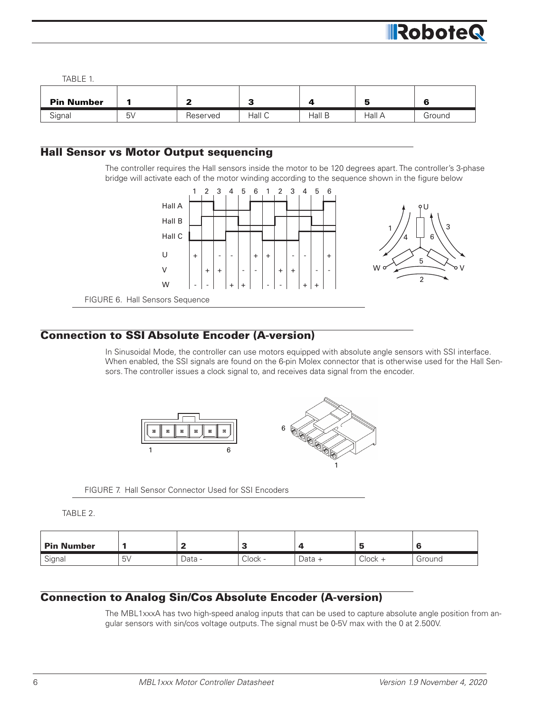

TABLE 1.

| <b>Pin Number</b> |             |          | -<br>- 1 |        | E.     | -<br>ю |
|-------------------|-------------|----------|----------|--------|--------|--------|
| Signal            | $5\sqrt{ }$ | Reserved | Hall C   | Hall B | Hall A | Ground |

# Hall Sensor vs Motor Output sequencing

The controller requires the Hall sensors inside the motor to be 120 degrees apart. The controller's 3-phase bridge will activate each of the motor winding according to the sequence shown in the figure below



### Connection to SSI Absolute Encoder (A-version)

In Sinusoidal Mode, the controller can use motors equipped with absolute angle sensors with SSI interface. When enabled, the SSI signals are found on the 6-pin Molex connector that is otherwise used for the Hall Sensors. The controller issues a clock signal to, and receives data signal from the encoder.



FIGURE 7. Hall Sensor Connector Used for SSI Encoders

TABLE 2.

| <b>Pin Number</b> |          |        |         | -        |           |        |
|-------------------|----------|--------|---------|----------|-----------|--------|
| Signal            | い<br>ا ب | Data - | Clock - | $Data +$ | $Clock +$ | Ground |

### Connection to Analog Sin/Cos Absolute Encoder (A-version)

The MBL1xxxA has two high-speed analog inputs that can be used to capture absolute angle position from angular sensors with sin/cos voltage outputs. The signal must be 0-5V max with the 0 at 2.500V.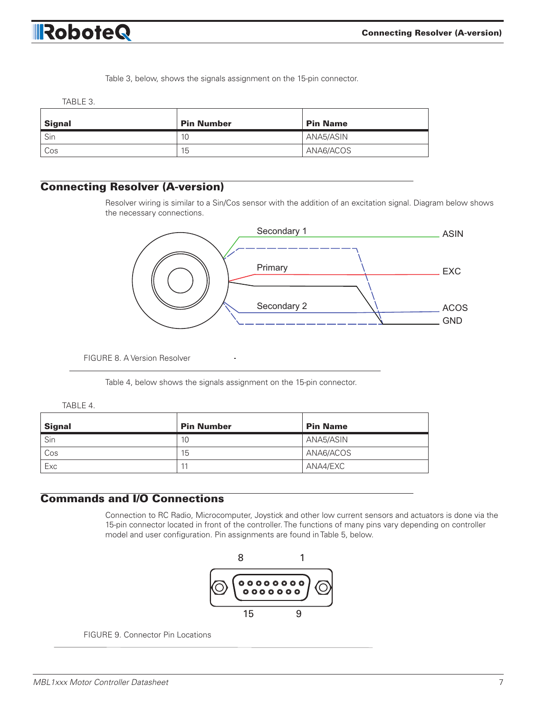

Table 3, below, shows the signals assignment on the 15-pin connector.

TABLE 3.

| Signal | <b>Pin Number</b> | <b>Pin Name</b> |
|--------|-------------------|-----------------|
| i Sin  | 10                | ANA5/ASIN       |
| l Cos  | 15                | ANA6/ACOS       |

# Connecting Resolver (A-version)

Resolver wiring is similar to a Sin/Cos sensor with the addition of an excitation signal. Diagram below shows the necessary connections.



FIGURE 8. A Version Resolver

Table 4, below shows the signals assignment on the 15-pin connector.

| <b>Signal</b> | <b>Pin Number</b> | <b>Pin Name</b> |
|---------------|-------------------|-----------------|
| Sin           | 10                | ANA5/ASIN       |
| Cos           | 15                | ANA6/ACOS       |
| Exc           | 11                | ANA4/EXC        |

#### Commands and I/O Connections

Connection to RC Radio, Microcomputer, Joystick and other low current sensors and actuators is done via the 15-pin connector located in front of the controller. The functions of many pins vary depending on controller model and user configuration. Pin assignments are found in Table 5, below.



FIGURE 9. Connector Pin Locations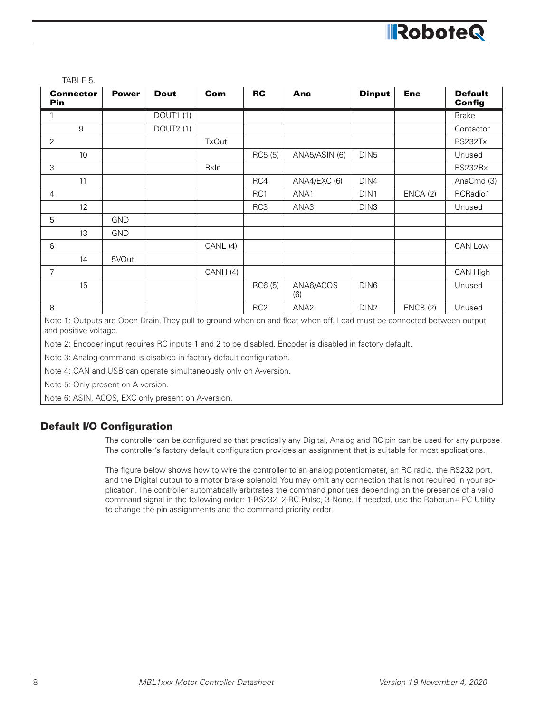

TABLE 5.

| <b>Connector</b><br><b>Pin</b> | <b>Power</b> | <b>Dout</b>      | Com          | <b>RC</b>       | Ana              | <b>Dinput</b>    | <b>Enc</b> | <b>Default</b><br>Config |
|--------------------------------|--------------|------------------|--------------|-----------------|------------------|------------------|------------|--------------------------|
|                                |              | <b>DOUT1 (1)</b> |              |                 |                  |                  |            | <b>Brake</b>             |
| $\boldsymbol{9}$               |              | DOUT2 (1)        |              |                 |                  |                  |            | Contactor                |
| $\overline{2}$                 |              |                  | <b>TxOut</b> |                 |                  |                  |            | RS232Tx                  |
| 10                             |              |                  |              | RC5 (5)         | ANA5/ASIN (6)    | DIN <sub>5</sub> |            | Unused                   |
| 3                              |              |                  | RxIn         |                 |                  |                  |            | RS232Rx                  |
| 11                             |              |                  |              | RC4             | ANA4/EXC (6)     | DIN4             |            | AnaCmd (3)               |
| 4                              |              |                  |              | RC1             | ANA1             | DIN1             | ENCA(2)    | RCRadio1                 |
| 12                             |              |                  |              | RC3             | ANA3             | DIN <sub>3</sub> |            | Unused                   |
| 5                              | <b>GND</b>   |                  |              |                 |                  |                  |            |                          |
| 13                             | <b>GND</b>   |                  |              |                 |                  |                  |            |                          |
| 6                              |              |                  | CANL(4)      |                 |                  |                  |            | CAN Low                  |
| 14                             | 5VOut        |                  |              |                 |                  |                  |            |                          |
| $\overline{7}$                 |              |                  | CANH (4)     |                 |                  |                  |            | CAN High                 |
| 15                             |              |                  |              | RC6 (5)         | ANA6/ACOS<br>(6) | DIN <sub>6</sub> |            | Unused                   |
| 8                              |              |                  |              | RC <sub>2</sub> | ANA <sub>2</sub> | DIN <sub>2</sub> | ENCB(2)    | Unused                   |

Note 1: Outputs are Open Drain. They pull to ground when on and float when off. Load must be connected between output and positive voltage.

Note 2: Encoder input requires RC inputs 1 and 2 to be disabled. Encoder is disabled in factory default.

Note 3: Analog command is disabled in factory default configuration.

Note 4: CAN and USB can operate simultaneously only on A-version.

Note 5: Only present on A-version.

Note 6: ASIN, ACOS, EXC only present on A-version.

#### Default I/O Configuration

The controller can be configured so that practically any Digital, Analog and RC pin can be used for any purpose. The controller's factory default configuration provides an assignment that is suitable for most applications.

The figure below shows how to wire the controller to an analog potentiometer, an RC radio, the RS232 port, and the Digital output to a motor brake solenoid. You may omit any connection that is not required in your application. The controller automatically arbitrates the command priorities depending on the presence of a valid command signal in the following order: 1-RS232, 2-RC Pulse, 3-None. If needed, use the Roborun+ PC Utility to change the pin assignments and the command priority order.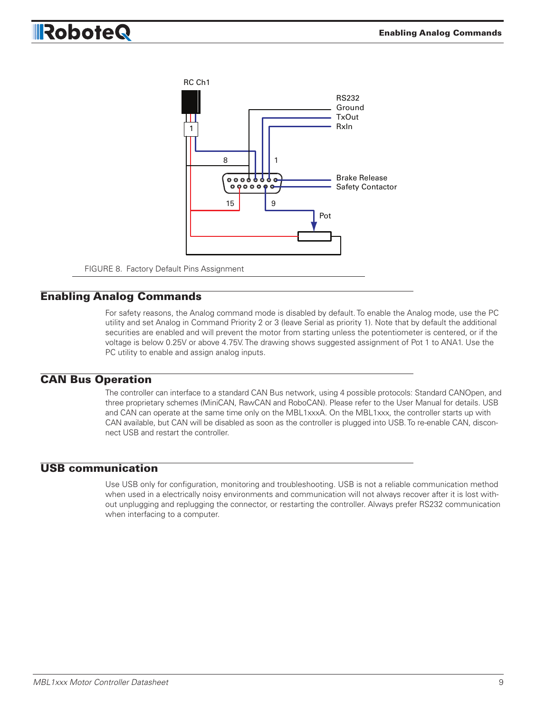# RoboteQ



#### Enabling Analog Commands

For safety reasons, the Analog command mode is disabled by default. To enable the Analog mode, use the PC utility and set Analog in Command Priority 2 or 3 (leave Serial as priority 1). Note that by default the additional securities are enabled and will prevent the motor from starting unless the potentiometer is centered, or if the voltage is below 0.25V or above 4.75V. The drawing shows suggested assignment of Pot 1 to ANA1. Use the PC utility to enable and assign analog inputs.

#### CAN Bus Operation

The controller can interface to a standard CAN Bus network, using 4 possible protocols: Standard CANOpen, and three proprietary schemes (MiniCAN, RawCAN and RoboCAN). Please refer to the User Manual for details. USB and CAN can operate at the same time only on the MBL1xxxA. On the MBL1xxx, the controller starts up with CAN available, but CAN will be disabled as soon as the controller is plugged into USB. To re-enable CAN, disconnect USB and restart the controller.

#### USB communication

Use USB only for configuration, monitoring and troubleshooting. USB is not a reliable communication method when used in a electrically noisy environments and communication will not always recover after it is lost without unplugging and replugging the connector, or restarting the controller. Always prefer RS232 communication when interfacing to a computer.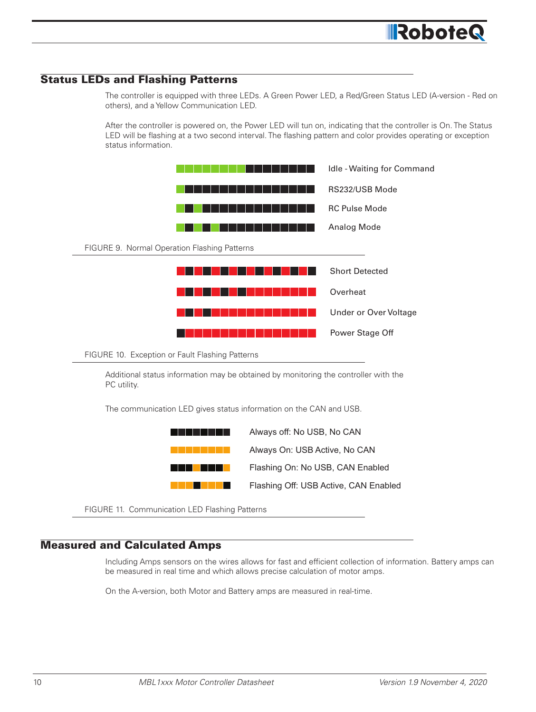#### Status LEDs and Flashing Patterns

The controller is equipped with three LEDs. A Green Power LED, a Red/Green Status LED (A-version - Red on others), and a Yellow Communication LED.

After the controller is powered on, the Power LED will tun on, indicating that the controller is On. The Status LED will be flashing at a two second interval. The flashing pattern and color provides operating or exception<br>Althorist formation status information.



#### Measured and Calculated Amps

Including Amps sensors on the wires allows for fast and efficient collection of information. Battery amps can be measured in real time and which allows precise calculation of motor amps.

On the A-version, both Motor and Battery amps are measured in real-time.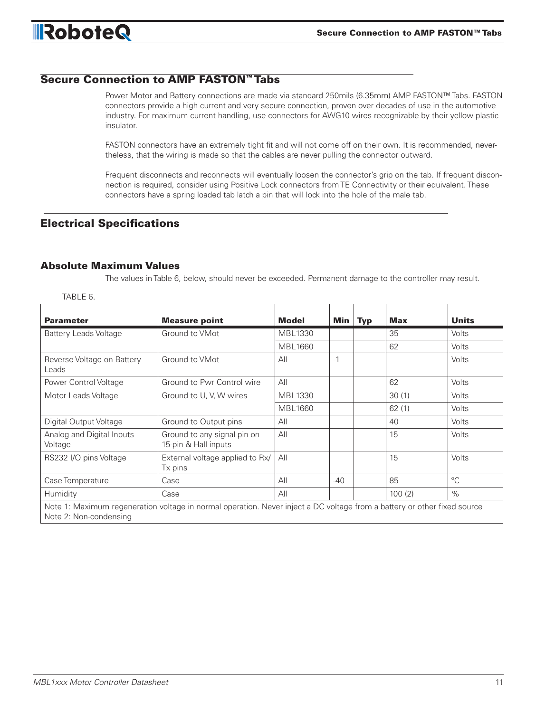## Secure Connection to AMP FASTON™ Tabs

Power Motor and Battery connections are made via standard 250mils (6.35mm) AMP FASTON™ Tabs. FASTON connectors provide a high current and very secure connection, proven over decades of use in the automotive industry. For maximum current handling, use connectors for AWG10 wires recognizable by their yellow plastic insulator.

FASTON connectors have an extremely tight fit and will not come off on their own. It is recommended, nevertheless, that the wiring is made so that the cables are never pulling the connector outward.

Frequent disconnects and reconnects will eventually loosen the connector's grip on the tab. If frequent disconnection is required, consider using Positive Lock connectors from TE Connectivity or their equivalent. These connectors have a spring loaded tab latch a pin that will lock into the hole of the male tab.

### Electrical Specifications

#### Absolute Maximum Values

The values in Table 6, below, should never be exceeded. Permanent damage to the controller may result.

| .רש בראו                             |                                                                                                                          |                |       |            |            |              |
|--------------------------------------|--------------------------------------------------------------------------------------------------------------------------|----------------|-------|------------|------------|--------------|
| <b>Parameter</b>                     | <b>Measure point</b>                                                                                                     | Model          | Min   | <b>Typ</b> | <b>Max</b> | <b>Units</b> |
| <b>Battery Leads Voltage</b>         | Ground to VMot                                                                                                           | MBL1330        |       |            | 35         | <b>Volts</b> |
|                                      |                                                                                                                          | MBL1660        |       |            | 62         | Volts        |
| Reverse Voltage on Battery<br>Leads  | Ground to VMot                                                                                                           | All            | $-1$  |            |            | <b>Volts</b> |
| Power Control Voltage                | Ground to Pwr Control wire                                                                                               | All            |       |            | 62         | <b>Volts</b> |
| Motor Leads Voltage                  | Ground to U, V, W wires                                                                                                  | MBL1330        |       |            | 30(1)      | <b>Volts</b> |
|                                      |                                                                                                                          | <b>MBL1660</b> |       |            | 62(1)      | <b>Volts</b> |
| Digital Output Voltage               | Ground to Output pins                                                                                                    | All            |       |            | 40         | <b>Volts</b> |
| Analog and Digital Inputs<br>Voltage | Ground to any signal pin on<br>15-pin & Hall inputs                                                                      | All            |       |            | 15         | Volts        |
| RS232 I/O pins Voltage               | External voltage applied to Rx/<br>Tx pins                                                                               | All            |       |            | 15         | Volts        |
| Case Temperature                     | Case                                                                                                                     | All            | $-40$ |            | 85         | $^{\circ}C$  |
| Humidity                             | Case                                                                                                                     | All            |       |            | 100(2)     | %            |
| Note 2: Non-condensing               | Note 1: Maximum regeneration voltage in normal operation. Never inject a DC voltage from a battery or other fixed source |                |       |            |            |              |

TABLE 6.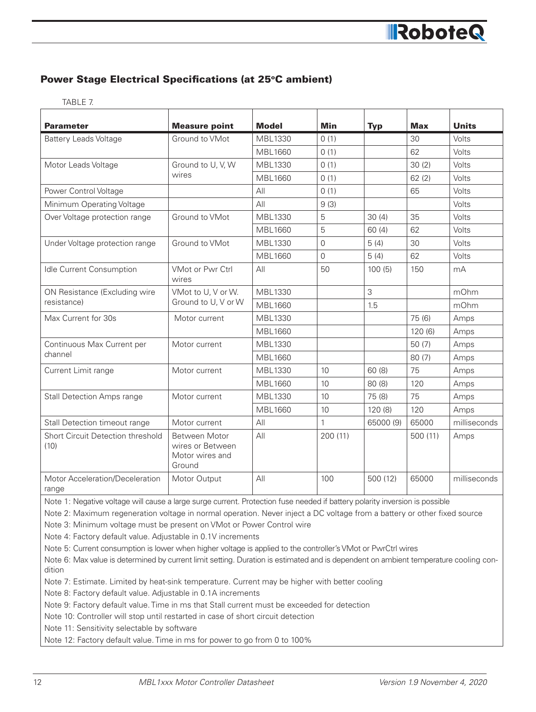# Power Stage Electrical Specifications (at 25°C ambient)

TABLE 7.

| Parameter                                 | <b>Measure point</b>                                           | <b>Model</b>   | Min          | <b>Typ</b> | <b>Max</b> | <b>Units</b> |
|-------------------------------------------|----------------------------------------------------------------|----------------|--------------|------------|------------|--------------|
| <b>Battery Leads Voltage</b>              | Ground to VMot                                                 | MBL1330        | 0(1)         |            | 30         | Volts        |
|                                           |                                                                | <b>MBL1660</b> | 0(1)         |            | 62         | Volts        |
| Motor Leads Voltage                       | Ground to U, V, W                                              | MBL1330        | 0(1)         |            | 30(2)      | Volts        |
|                                           | wires                                                          | MBL1660        | 0(1)         |            | 62(2)      | Volts        |
| Power Control Voltage                     |                                                                | All            | 0(1)         |            | 65         | Volts        |
| Minimum Operating Voltage                 |                                                                | All            | 9(3)         |            |            | Volts        |
| Over Voltage protection range             | Ground to VMot                                                 | MBL1330        | 5            | 30(4)      | 35         | Volts        |
|                                           |                                                                | <b>MBL1660</b> | 5            | 60(4)      | 62         | Volts        |
| Under Voltage protection range            | Ground to VMot                                                 | MBL1330        | $\Omega$     | 5(4)       | 30         | Volts        |
|                                           |                                                                | <b>MBL1660</b> | $\Omega$     | 5(4)       | 62         | Volts        |
| Idle Current Consumption                  | VMot or Pwr Ctrl<br>wires                                      | AlI            | 50           | 100(5)     | 150        | mA           |
| ON Resistance (Excluding wire             | VMot to U, V or W.                                             | <b>MBL1330</b> |              | 3          |            | mOhm         |
| resistance)                               | Ground to U, V or W                                            | MBL1660        |              | 1.5        |            | mOhm         |
| Max Current for 30s                       | Motor current                                                  | MBL1330        |              |            | 75 (6)     | Amps         |
|                                           |                                                                | MBL1660        |              |            | 120(6)     | Amps         |
| Continuous Max Current per                | Motor current                                                  | MBL1330        |              |            | 50(7)      | Amps         |
| channel                                   |                                                                | MBL1660        |              |            | 80(7)      | Amps         |
| Current Limit range                       | Motor current                                                  | <b>MBL1330</b> | 10           | 60(8)      | 75         | Amps         |
|                                           |                                                                | <b>MBL1660</b> | 10           | 80 (8)     | 120        | Amps         |
| <b>Stall Detection Amps range</b>         | Motor current                                                  | MBL1330        | 10           | 75 (8)     | 75         | Amps         |
|                                           |                                                                | <b>MBL1660</b> | 10           | 120(8)     | 120        | Amps         |
| Stall Detection timeout range             | Motor current                                                  | All            | $\mathbf{1}$ | 65000 (9)  | 65000      | milliseconds |
| Short Circuit Detection threshold<br>(10) | Between Motor<br>wires or Between<br>Motor wires and<br>Ground | All            | 200(11)      |            | 500(11)    | Amps         |
| Motor Acceleration/Deceleration<br>range  | Motor Output                                                   | All            | 100          | 500 (12)   | 65000      | milliseconds |

Note 1: Negative voltage will cause a large surge current. Protection fuse needed if battery polarity inversion is possible

Note 2: Maximum regeneration voltage in normal operation. Never inject a DC voltage from a battery or other fixed source

Note 3: Minimum voltage must be present on VMot or Power Control wire

Note 4: Factory default value. Adjustable in 0.1V increments

Note 5: Current consumption is lower when higher voltage is applied to the controller's VMot or PwrCtrl wires

Note 6: Max value is determined by current limit setting. Duration is estimated and is dependent on ambient temperature cooling condition

Note 7: Estimate. Limited by heat-sink temperature. Current may be higher with better cooling

Note 8: Factory default value. Adjustable in 0.1A increments

Note 9: Factory default value. Time in ms that Stall current must be exceeded for detection

Note 10: Controller will stop until restarted in case of short circuit detection

Note 11: Sensitivity selectable by software

Note 12: Factory default value. Time in ms for power to go from 0 to 100%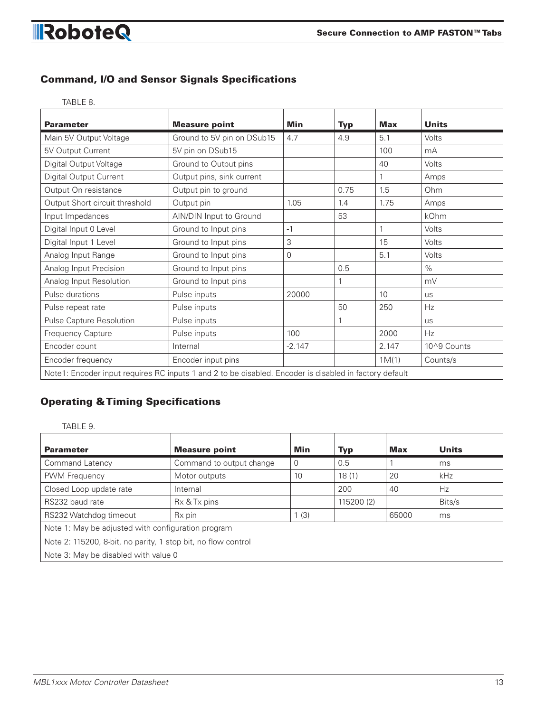#### Command, I/O and Sensor Signals Specifications

TABLE 8.

RoboteQ

| <b>Parameter</b>               | <b>Measure point</b>                                                                                   | <b>Min</b>     | <b>Typ</b> | <b>Max</b> | <b>Units</b> |
|--------------------------------|--------------------------------------------------------------------------------------------------------|----------------|------------|------------|--------------|
| Main 5V Output Voltage         | Ground to 5V pin on DSub15                                                                             | 4.7            | 4.9        | 5.1        | Volts        |
| 5V Output Current              | 5V pin on DSub15                                                                                       |                |            | 100        | mA           |
| Digital Output Voltage         | Ground to Output pins                                                                                  |                |            | 40         | Volts        |
| Digital Output Current         | Output pins, sink current                                                                              |                |            |            | Amps         |
| Output On resistance           | Output pin to ground                                                                                   |                | 0.75       | 1.5        | Ohm          |
| Output Short circuit threshold | Output pin                                                                                             | 1.05           | 1.4        | 1.75       | Amps         |
| Input Impedances               | AIN/DIN Input to Ground                                                                                |                | 53         |            | kOhm         |
| Digital Input 0 Level          | Ground to Input pins                                                                                   | $-1$           |            |            | Volts        |
| Digital Input 1 Level          | Ground to Input pins                                                                                   | 3              |            | 15         | Volts        |
| Analog Input Range             | Ground to Input pins                                                                                   | $\overline{0}$ |            | 5.1        | <b>Volts</b> |
| Analog Input Precision         | Ground to Input pins                                                                                   |                | 0.5        |            | $\%$         |
| Analog Input Resolution        | Ground to Input pins                                                                                   |                | 1          |            | mV           |
| Pulse durations                | Pulse inputs                                                                                           | 20000          |            | 10         | <b>us</b>    |
| Pulse repeat rate              | Pulse inputs                                                                                           |                | 50         | 250        | <b>Hz</b>    |
| Pulse Capture Resolution       | Pulse inputs                                                                                           |                | 1          |            | <b>us</b>    |
| Frequency Capture              | Pulse inputs                                                                                           | 100            |            | 2000       | Hz           |
| Encoder count                  | Internal                                                                                               | $-2.147$       |            | 2.147      | 10^9 Counts  |
| Encoder frequency              | Encoder input pins                                                                                     |                |            | 1M(1)      | Counts/s     |
|                                | Note1: Encoder input requires RC inputs 1 and 2 to be disabled. Encoder is disabled in factory default |                |            |            |              |

# Operating & Timing Specifications

#### TABLE 9.

| <b>Parameter</b>                                              | <b>Measure point</b>     | Min  | <b>Typ</b> | <b>Max</b> | <b>Units</b> |  |  |
|---------------------------------------------------------------|--------------------------|------|------------|------------|--------------|--|--|
| Command Latency                                               | Command to output change | 0    | 0.5        |            | ms           |  |  |
| <b>PWM Frequency</b>                                          | Motor outputs            | 10   | 18(1)      | 20         | kHz          |  |  |
| Closed Loop update rate                                       | Internal                 |      | 200        | 40         | Hz           |  |  |
| RS232 baud rate                                               | Rx & Tx pins             |      | 115200 (2) |            | Bits/s       |  |  |
| RS232 Watchdog timeout                                        | R <sub>x</sub> pin       | 1(3) |            | 65000      | ms           |  |  |
| Note 1: May be adjusted with configuration program            |                          |      |            |            |              |  |  |
| Note 2: 115200, 8-bit, no parity, 1 stop bit, no flow control |                          |      |            |            |              |  |  |
| Note 3: May be disabled with value 0                          |                          |      |            |            |              |  |  |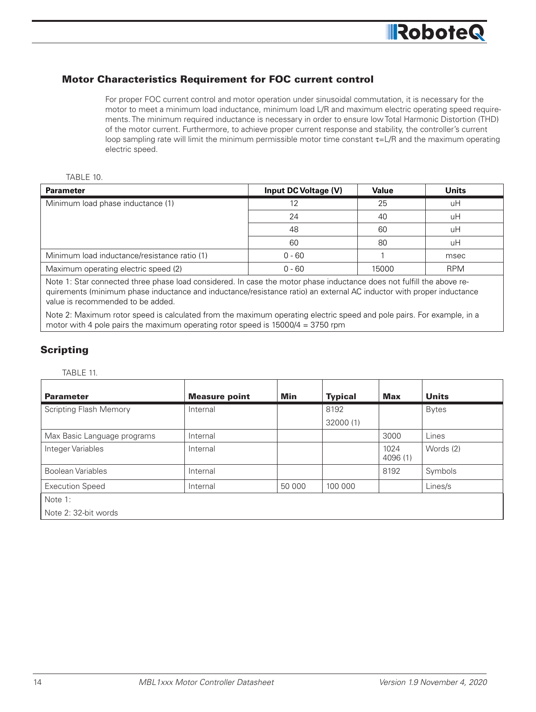#### Motor Characteristics Requirement for FOC current control

For proper FOC current control and motor operation under sinusoidal commutation, it is necessary for the motor to meet a minimum load inductance, minimum load L/R and maximum electric operating speed requirements. The minimum required inductance is necessary in order to ensure low Total Harmonic Distortion (THD) of the motor current. Furthermore, to achieve proper current response and stability, the controller's current loop sampling rate will limit the minimum permissible motor time constant  $\tau = L/R$  and the maximum operating electric speed.

#### TABLE 10.

| <b>Parameter</b>                             | Input DC Voltage (V) | Value | <b>Units</b> |
|----------------------------------------------|----------------------|-------|--------------|
| Minimum load phase inductance (1)            |                      | 25    | uH           |
|                                              | 24                   | 40    | uH           |
|                                              | 48                   | 60    | uH           |
|                                              | 60                   | 80    | uH           |
| Minimum load inductance/resistance ratio (1) | $0 - 60$             |       | msec         |
| Maximum operating electric speed (2)         | $0 - 60$             | 15000 | <b>RPM</b>   |

Note 1: Star connected three phase load considered. In case the motor phase inductance does not fulfill the above requirements (minimum phase inductance and inductance/resistance ratio) an external AC inductor with proper inductance value is recommended to be added.

Note 2: Maximum rotor speed is calculated from the maximum operating electric speed and pole pairs. For example, in a motor with 4 pole pairs the maximum operating rotor speed is  $15000/4 = 3750$  rpm

#### Scripting

#### TABLE 11.

| <b>Parameter</b>              | <b>Measure point</b> | Min    | <b>Typical</b> | <b>Max</b>       | <b>Units</b> |  |
|-------------------------------|----------------------|--------|----------------|------------------|--------------|--|
| <b>Scripting Flash Memory</b> | Internal             |        | 8192           |                  | <b>Bytes</b> |  |
|                               |                      |        | 32000 (1)      |                  |              |  |
| Max Basic Language programs   | Internal             |        |                | 3000             | Lines        |  |
| Integer Variables             | Internal             |        |                | 1024<br>4096 (1) | Words (2)    |  |
| Boolean Variables             | Internal             |        |                | 8192             | Symbols      |  |
| <b>Execution Speed</b>        | Internal             | 50 000 | 100 000        |                  | Lines/s      |  |
| Note 1:                       |                      |        |                |                  |              |  |
| Note 2: 32-bit words          |                      |        |                |                  |              |  |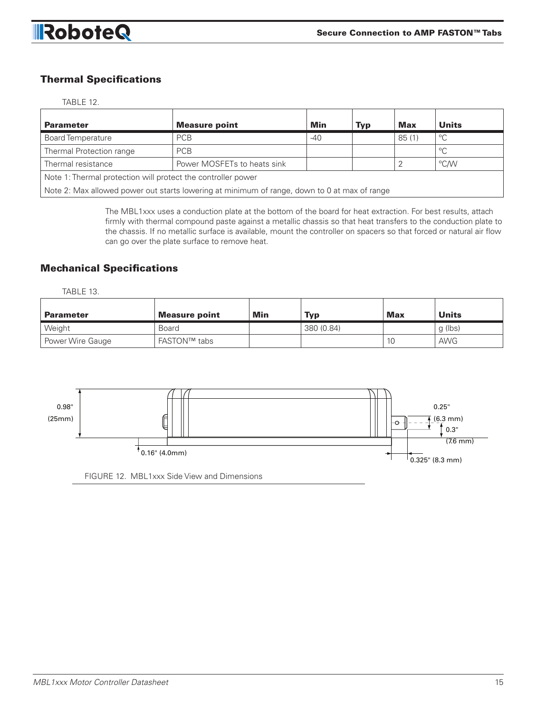

### Thermal Specifications

#### TABLE 12.

| <b>Parameter</b>                                                                             | <b>Measure point</b>        | Min | <b>Typ</b> | <b>Max</b> | <b>Units</b> |  |  |
|----------------------------------------------------------------------------------------------|-----------------------------|-----|------------|------------|--------------|--|--|
| <b>Board Temperature</b>                                                                     | <b>PCB</b><br>$-40$         |     |            | 85(1)      | $^{\circ}$ C |  |  |
| Thermal Protection range                                                                     | <b>PCB</b>                  |     |            |            | $^{\circ}$ C |  |  |
| Thermal resistance                                                                           | Power MOSFETs to heats sink |     |            |            | °C/W         |  |  |
| Note 1: Thermal protection will protect the controller power                                 |                             |     |            |            |              |  |  |
| Note 2: Max allowed power out starts lowering at minimum of range, down to 0 at max of range |                             |     |            |            |              |  |  |

The MBL1xxx uses a conduction plate at the bottom of the board for heat extraction. For best results, attach firmly with thermal compound paste against a metallic chassis so that heat transfers to the conduction plate to the chassis. If no metallic surface is available, mount the controller on spacers so that forced or natural air flow can go over the plate surface to remove heat.

#### Mechanical Specifications

TABLE 13.

| <b>Parameter</b> | <b>Measure point</b> | Min | Typ        | <b>Max</b>     | <b>Units</b> |
|------------------|----------------------|-----|------------|----------------|--------------|
| Weight           | <b>Board</b>         |     | 380 (0.84) |                | q (lbs)      |
| Power Wire Gauge | FASTON™ tabs         |     |            | 1 <sup>0</sup> | <b>AWG</b>   |